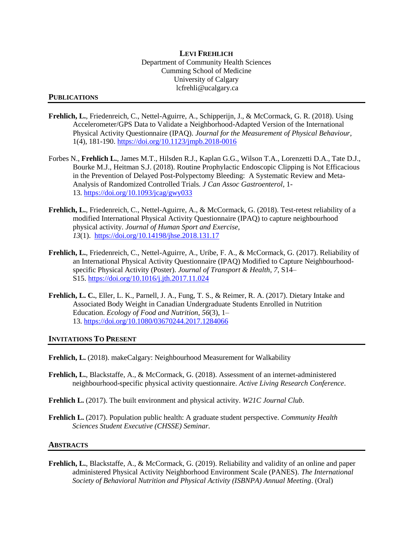## **LEVI FREHLICH** Department of Community Health Sciences Cumming School of Medicine University of Calgary lcfrehli@ucalgary.ca

## **PUBLICATIONS**

- **Frehlich, L.**, Friedenreich, C., Nettel-Aguirre, A., Schipperijn, J., & McCormack, G. R. (2018). Using Accelerometer/GPS Data to Validate a Neighborhood-Adapted Version of the International Physical Activity Questionnaire (IPAQ). *Journal for the Measurement of Physical Behaviour*, 1(4), 181-190.<https://doi.org/10.1123/jmpb.2018-0016>
- Forbes N., **Frehlich L.**, James M.T., Hilsden R.J., Kaplan G.G., Wilson T.A., Lorenzetti D.A., Tate D.J., Bourke M.J., Heitman S.J. (2018). Routine Prophylactic Endoscopic Clipping is Not Efficacious in the Prevention of Delayed Post-Polypectomy Bleeding: A Systematic Review and Meta-Analysis of Randomized Controlled Trials*. J Can Assoc Gastroenterol,* 1- 13. <https://doi.org/10.1093/jcag/gwy033>
- **Frehlich, L.**, Friedenreich, C., Nettel-Aguirre, A., & McCormack, G. (2018). Test-retest reliability of a modified International Physical Activity Questionnaire (IPAQ) to capture neighbourhood physical activity. *Journal of Human Sport and Exercise, 13*(1). <https://doi.org/10.14198/jhse.2018.131.17>
- **Frehlich, L.**, Friedenreich, C., Nettel-Aguirre, A., Uribe, F. A., & McCormack, G. (2017). Reliability of an International Physical Activity Questionnaire (IPAQ) Modified to Capture Neighbourhoodspecific Physical Activity (Poster). *Journal of Transport & Health*, *7*, S14– S15. <https://doi.org/10.1016/j.jth.2017.11.024>
- **Frehlich, L. C.**, Eller, L. K., Parnell, J. A., Fung, T. S., & Reimer, R. A. (2017). Dietary Intake and Associated Body Weight in Canadian Undergraduate Students Enrolled in Nutrition Education. *Ecology of Food and Nutrition*, *56*(3), 1– 13. <https://doi.org/10.1080/03670244.2017.1284066>

## **INVITATIONS TO PRESENT**

- **Frehlich, L.** (2018). makeCalgary: Neighbourhood Measurement for Walkability
- **Frehlich, L.**, Blackstaffe, A., & McCormack, G. (2018). Assessment of an internet-administered neighbourhood-specific physical activity questionnaire. *Active Living Research Conference*.
- **Frehlich L.** (2017). The built environment and physical activity. *W21C Journal Club*.
- **Frehlich L.** (2017). Population public health: A graduate student perspective. *Community Health Sciences Student Executive (CHSSE) Seminar.*

## **ABSTRACTS**

**Frehlich, L.**, Blackstaffe, A., & McCormack, G. (2019). Reliability and validity of an online and paper administered Physical Activity Neighborhood Environment Scale (PANES). *The International Society of Behavioral Nutrition and Physical Activity (ISBNPA) Annual Meeting*. (Oral)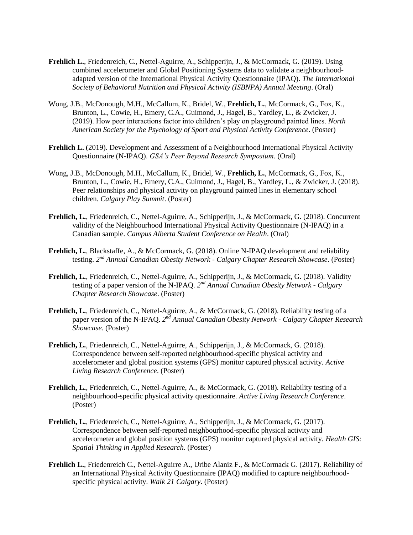- **Frehlich L.**, Friedenreich, C., Nettel-Aguirre, A., Schipperijn, J., & McCormack, G. (2019). Using combined accelerometer and Global Positioning Systems data to validate a neighbourhoodadapted version of the International Physical Activity Questionnaire (IPAQ). *The International Society of Behavioral Nutrition and Physical Activity (ISBNPA) Annual Meeting*. (Oral)
- Wong, J.B., McDonough, M.H., McCallum, K., Bridel, W., **Frehlich, L.**, McCormack, G., Fox, K., Brunton, L., Cowie, H., Emery, C.A., Guimond, J., Hagel, B., Yardley, L., & Zwicker, J. (2019). How peer interactions factor into children's play on playground painted lines. *North American Society for the Psychology of Sport and Physical Activity Conference*. (Poster)
- **Frehlich L.** (2019). Development and Assessment of a Neighbourhood International Physical Activity Questionnaire (N-IPAQ). *GSA's Peer Beyond Research Symposium*. (Oral)
- Wong, J.B., McDonough, M.H., McCallum, K., Bridel, W., **Frehlich, L.**, McCormack, G., Fox, K., Brunton, L., Cowie, H., Emery, C.A., Guimond, J., Hagel, B., Yardley, L., & Zwicker, J. (2018). Peer relationships and physical activity on playground painted lines in elementary school children. *Calgary Play Summit*. (Poster)
- **Frehlich, L.**, Friedenreich, C., Nettel-Aguirre, A., Schipperijn, J., & McCormack, G. (2018). Concurrent validity of the Neighbourhood International Physical Activity Questionnaire (N-IPAQ) in a Canadian sample. *Campus Alberta Student Conference on Health*. (Oral)
- **Frehlich, L.**, Blackstaffe, A., & McCormack, G. (2018). Online N-IPAQ development and reliability testing. 2<sup>nd</sup> Annual Canadian Obesity Network - Calgary Chapter Research Showcase. (Poster)
- **Frehlich, L.**, Friedenreich, C., Nettel-Aguirre, A., Schipperijn, J., & McCormack, G. (2018). Validity testing of a paper version of the N-IPAQ. *2 nd Annual Canadian Obesity Network - Calgary Chapter Research Showcase*. (Poster)
- **Frehlich, L.**, Friedenreich, C., Nettel-Aguirre, A., & McCormack, G. (2018). Reliability testing of a paper version of the N-IPAQ. 2<sup>nd</sup> Annual Canadian Obesity Network - Calgary Chapter Research *Showcase*. (Poster)
- **Frehlich, L.**, Friedenreich, C., Nettel-Aguirre, A., Schipperijn, J., & McCormack, G. (2018). Correspondence between self-reported neighbourhood-specific physical activity and accelerometer and global position systems (GPS) monitor captured physical activity. *Active Living Research Conference*. (Poster)
- **Frehlich, L.**, Friedenreich, C., Nettel-Aguirre, A., & McCormack, G. (2018). Reliability testing of a neighbourhood-specific physical activity questionnaire. *Active Living Research Conference*. (Poster)
- **Frehlich, L.**, Friedenreich, C., Nettel-Aguirre, A., Schipperijn, J., & McCormack, G. (2017). Correspondence between self-reported neighbourhood-specific physical activity and accelerometer and global position systems (GPS) monitor captured physical activity. *Health GIS: Spatial Thinking in Applied Research*. (Poster)
- **Frehlich L.**, Friedenreich C., Nettel-Aguirre A., Uribe Alaniz F., & McCormack G. (2017). Reliability of an International Physical Activity Questionnaire (IPAQ) modified to capture neighbourhoodspecific physical activity. *Walk 21 Calgary*. (Poster)